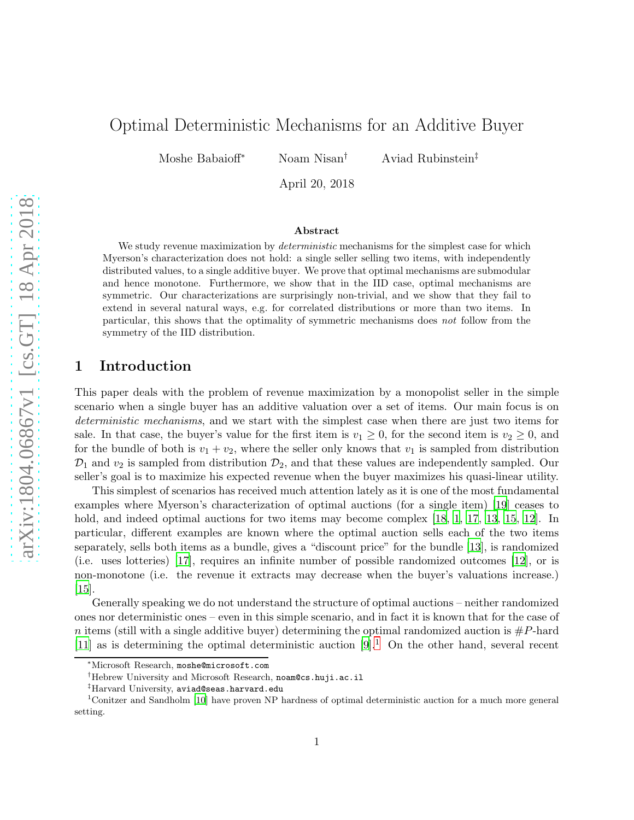# Optimal Deterministic Mechanisms for an Additive Buyer

Moshe Babaioff<sup>\*</sup> Noam Nisan<sup>†</sup> Aviad Rubinstein<sup>‡</sup>

April 20, 2018

#### Abstract

We study revenue maximization by *deterministic* mechanisms for the simplest case for which Myerson's characterization does not hold: a single seller selling two items, with independently distributed values, to a single additive buyer. We prove that optimal mechanisms are submodular and hence monotone. Furthermore, we show that in the IID case, optimal mechanisms are symmetric. Our characterizations are surprisingly non-trivial, and we show that they fail to extend in several natural ways, e.g. for correlated distributions or more than two items. In particular, this shows that the optimality of symmetric mechanisms does *not* follow from the symmetry of the IID distribution.

### 1 Introduction

This paper deals with the problem of revenue maximization by a monopolist seller in the simple scenario when a single buyer has an additive valuation over a set of items. Our main focus is on *deterministic mechanisms*, and we start with the simplest case when there are just two items for sale. In that case, the buyer's value for the first item is  $v_1 \geq 0$ , for the second item is  $v_2 \geq 0$ , and for the bundle of both is  $v_1 + v_2$ , where the seller only knows that  $v_1$  is sampled from distribution  $\mathcal{D}_1$  and  $v_2$  is sampled from distribution  $\mathcal{D}_2$ , and that these values are independently sampled. Our seller's goal is to maximize his expected revenue when the buyer maximizes his quasi-linear utility.

This simplest of scenarios has received much attention lately as it is one of the most fundamental examples where Myerson's characterization of optimal auctions (for a single item) [\[19\]](#page-22-0) ceases to hold, and indeed optimal auctions for two items may become complex [\[18](#page-22-1), [1](#page-21-0), [17](#page-22-2), [13](#page-22-3), [15,](#page-22-4) [12](#page-22-5)]. In particular, different examples are known where the optimal auction sells each of the two items separately, sells both items as a bundle, gives a "discount price" for the bundle [\[13](#page-22-3)], is randomized (i.e. uses lotteries) [\[17\]](#page-22-2), requires an infinite number of possible randomized outcomes [\[12](#page-22-5)], or is non-monotone (i.e. the revenue it extracts may decrease when the buyer's valuations increase.) [\[15\]](#page-22-4).

Generally speaking we do not understand the structure of optimal auctions – neither randomized ones nor deterministic ones – even in this simple scenario, and in fact it is known that for the case of n items (still with a single additive buyer) determining the optimal randomized auction is  $\#P$ -hard [\[11\]](#page-22-6) as is determining the optimal deterministic auction  $[9]$ .<sup>[1](#page-0-0)</sup> On the other hand, several recent

<sup>∗</sup>Microsoft Research, moshe@microsoft.com

<sup>†</sup>Hebrew University and Microsoft Research, noam@cs.huji.ac.il

<sup>‡</sup>Harvard University, aviad@seas.harvard.edu

<span id="page-0-0"></span><sup>1</sup>Conitzer and Sandholm [\[10](#page-22-8)] have proven NP hardness of optimal deterministic auction for a much more general setting.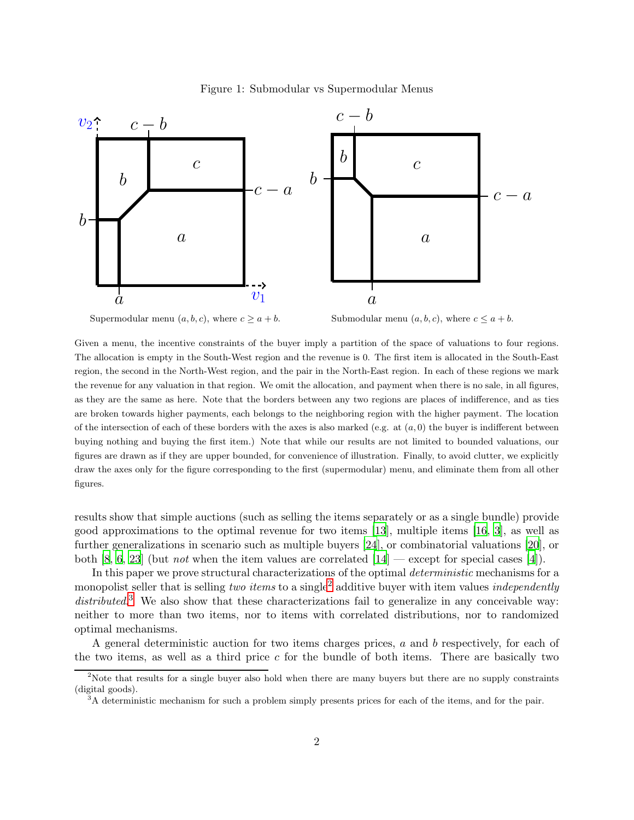

#### <span id="page-1-2"></span>Figure 1: Submodular vs Supermodular Menus



Submodular menu  $(a, b, c)$ , where  $c \le a + b$ .

Given a menu, the incentive constraints of the buyer imply a partition of the space of valuations to four regions. The allocation is empty in the South-West region and the revenue is 0. The first item is allocated in the South-East region, the second in the North-West region, and the pair in the North-East region. In each of these regions we mark the revenue for any valuation in that region. We omit the allocation, and payment when there is no sale, in all figures, as they are the same as here. Note that the borders between any two regions are places of indifference, and as ties are broken towards higher payments, each belongs to the neighboring region with the higher payment. The location of the intersection of each of these borders with the axes is also marked (e.g. at  $(a, 0)$ ) the buyer is indifferent between buying nothing and buying the first item.) Note that while our results are not limited to bounded valuations, our figures are drawn as if they are upper bounded, for convenience of illustration. Finally, to avoid clutter, we explicitly draw the axes only for the figure corresponding to the first (supermodular) menu, and eliminate them from all other figures.

results show that simple auctions (such as selling the items separately or as a single bundle) provide good approximations to the optimal revenue for two items [\[13](#page-22-3)], multiple items [\[16](#page-22-9), [3](#page-21-1)], as well as further generalizations in scenario such as multiple buyers [\[24](#page-23-0)], or combinatorial valuations [\[20\]](#page-23-1), or both [\[8](#page-22-10), [6](#page-21-2), [23\]](#page-23-2) (but *not* when the item values are correlated [\[14](#page-22-11)] — except for special cases [\[4](#page-21-3)]).

In this paper we prove structural characterizations of the optimal *deterministic* mechanisms for a monopolist seller that is selling *two items* to a single<sup>[2](#page-1-0)</sup> additive buyer with item values *independently* distributed.<sup>[3](#page-1-1)</sup> We also show that these characterizations fail to generalize in any conceivable way: neither to more than two items, nor to items with correlated distributions, nor to randomized optimal mechanisms.

A general deterministic auction for two items charges prices, a and b respectively, for each of the two items, as well as a third price c for the bundle of both items. There are basically two

<sup>&</sup>lt;sup>2</sup>Note that results for a single buyer also hold when there are many buyers but there are no supply constraints (digital goods).

<span id="page-1-1"></span><span id="page-1-0"></span><sup>&</sup>lt;sup>3</sup>A deterministic mechanism for such a problem simply presents prices for each of the items, and for the pair.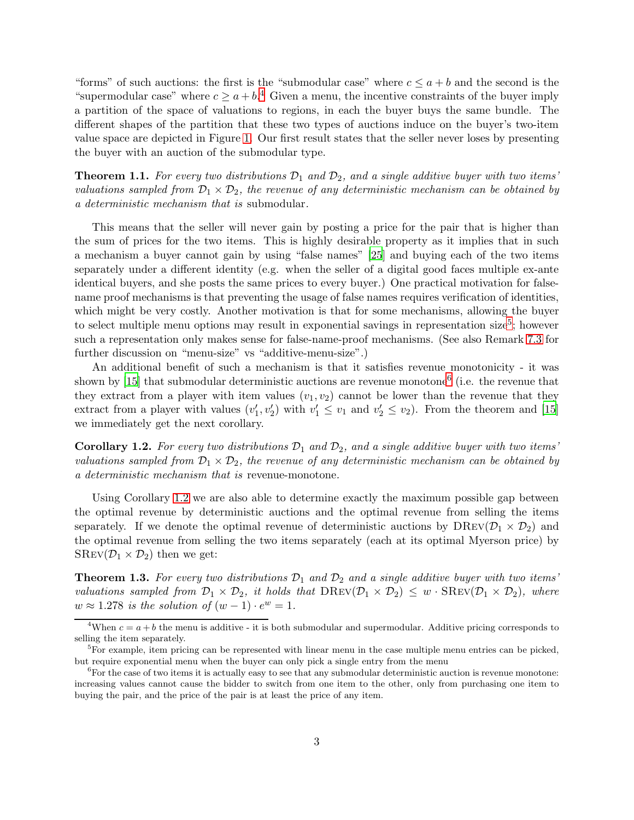"forms" of such auctions: the first is the "submodular case" where  $c \le a + b$  and the second is the "supermodular case" where  $c \geq a+b^4$  $c \geq a+b^4$  Given a menu, the incentive constraints of the buyer imply a partition of the space of valuations to regions, in each the buyer buys the same bundle. The different shapes of the partition that these two types of auctions induce on the buyer's two-item value space are depicted in Figure [1.](#page-1-2) Our first result states that the seller never loses by presenting the buyer with an auction of the submodular type.

<span id="page-2-4"></span>**Theorem 1.1.** For every two distributions  $\mathcal{D}_1$  and  $\mathcal{D}_2$ , and a single additive buyer with two items' *valuations sampled from*  $\mathcal{D}_1 \times \mathcal{D}_2$ , the revenue of any deterministic mechanism can be obtained by *a deterministic mechanism that is* submodular*.*

This means that the seller will never gain by posting a price for the pair that is higher than the sum of prices for the two items. This is highly desirable property as it implies that in such a mechanism a buyer cannot gain by using "false names" [\[25](#page-23-3)] and buying each of the two items separately under a different identity (e.g. when the seller of a digital good faces multiple ex-ante identical buyers, and she posts the same prices to every buyer.) One practical motivation for falsename proof mechanisms is that preventing the usage of false names requires verification of identities, which might be very costly. Another motivation is that for some mechanisms, allowing the buyer to select multiple menu options may result in exponential savings in representation size<sup>[5](#page-2-1)</sup>; however such a representation only makes sense for false-name-proof mechanisms. (See also Remark [7.3](#page-21-4) for further discussion on "menu-size" vs "additive-menu-size".)

An additional benefit of such a mechanism is that it satisfies revenue monotonicity - it was shown by [\[15\]](#page-22-4) that submodular deterministic auctions are revenue monotone<sup>[6](#page-2-2)</sup> (i.e. the revenue that they extract from a player with item values  $(v_1, v_2)$  cannot be lower than the revenue that they extract from a player with values  $(v'_1, v'_2)$  with  $v'_1 \le v_1$  and  $v'_2 \le v_2$ ). From the theorem and [\[15](#page-22-4)] we immediately get the next corollary.

<span id="page-2-3"></span>**Corollary 1.2.** For every two distributions  $\mathcal{D}_1$  and  $\mathcal{D}_2$ , and a single additive buyer with two items' *valuations sampled from*  $\mathcal{D}_1 \times \mathcal{D}_2$ , the revenue of any deterministic mechanism can be obtained by *a deterministic mechanism that is* revenue-monotone*.*

Using Corollary [1.2](#page-2-3) we are also able to determine exactly the maximum possible gap between the optimal revenue by deterministic auctions and the optimal revenue from selling the items separately. If we denote the optimal revenue of deterministic auctions by  $DREV(\mathcal{D}_1 \times \mathcal{D}_2)$  and the optimal revenue from selling the two items separately (each at its optimal Myerson price) by  $SREV(\mathcal{D}_1 \times \mathcal{D}_2)$  then we get:

<span id="page-2-5"></span>**Theorem 1.3.** For every two distributions  $\mathcal{D}_1$  and  $\mathcal{D}_2$  and a single additive buyer with two items' *valuations sampled from*  $\mathcal{D}_1 \times \mathcal{D}_2$ *, it holds that*  $D$ REV $(\mathcal{D}_1 \times \mathcal{D}_2) \leq w \cdot$  SREV $(\mathcal{D}_1 \times \mathcal{D}_2)$ *, where*  $w \approx 1.278$  *is the solution of*  $(w-1) \cdot e^w = 1$ *.* 

<span id="page-2-0"></span><sup>&</sup>lt;sup>4</sup>When  $c = a + b$  the menu is additive - it is both submodular and supermodular. Additive pricing corresponds to selling the item separately.

<span id="page-2-1"></span><sup>&</sup>lt;sup>5</sup>For example, item pricing can be represented with linear menu in the case multiple menu entries can be picked, but require exponential menu when the buyer can only pick a single entry from the menu

<span id="page-2-2"></span> ${}^{6}$  For the case of two items it is actually easy to see that any submodular deterministic auction is revenue monotone: increasing values cannot cause the bidder to switch from one item to the other, only from purchasing one item to buying the pair, and the price of the pair is at least the price of any item.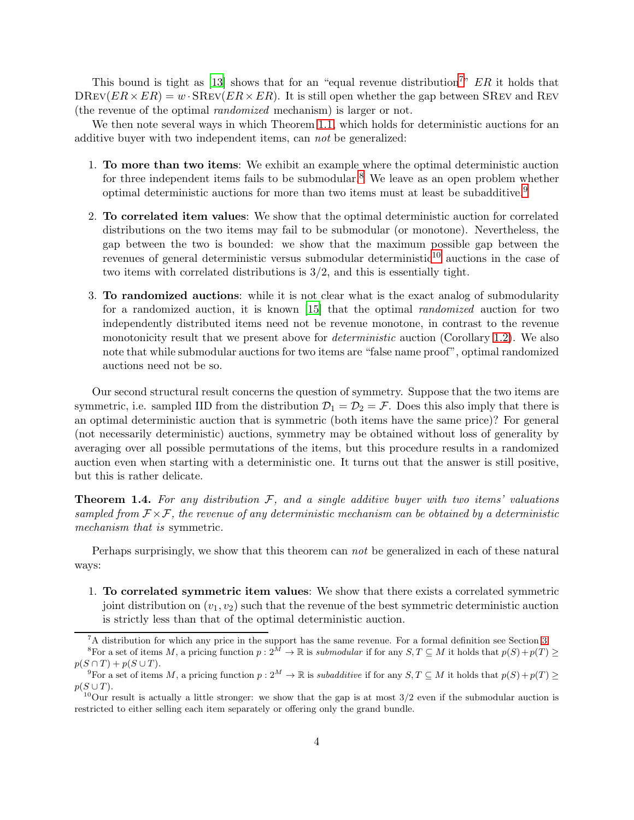This bound is tight as [\[13](#page-22-3)] shows that for an "equal revenue distribution<sup>[7](#page-3-0)</sup>"  $ER$  it holds that  $DREV(ER\times ER) = w \cdot \text{SREV}(ER\times ER)$ . It is still open whether the gap between SREV and REV (the revenue of the optimal *randomized* mechanism) is larger or not.

We then note several ways in which Theorem [1.1,](#page-2-4) which holds for deterministic auctions for an additive buyer with two independent items, can *not* be generalized:

- 1. To more than two items: We exhibit an example where the optimal deterministic auction for three independent items fails to be submodular.<sup>[8](#page-3-1)</sup> We leave as an open problem whether optimal deterministic auctions for more than two items must at least be subadditive.[9](#page-3-2)
- 2. To correlated item values: We show that the optimal deterministic auction for correlated distributions on the two items may fail to be submodular (or monotone). Nevertheless, the gap between the two is bounded: we show that the maximum possible gap between the revenues of general deterministic versus submodular deterministic $10$  auctions in the case of two items with correlated distributions is 3/2, and this is essentially tight.
- 3. To randomized auctions: while it is not clear what is the exact analog of submodularity for a randomized auction, it is known [\[15](#page-22-4)] that the optimal *randomized* auction for two independently distributed items need not be revenue monotone, in contrast to the revenue monotonicity result that we present above for *deterministic* auction (Corollary [1.2\)](#page-2-3). We also note that while submodular auctions for two items are "false name proof", optimal randomized auctions need not be so.

Our second structural result concerns the question of symmetry. Suppose that the two items are symmetric, i.e. sampled IID from the distribution  $\mathcal{D}_1 = \mathcal{D}_2 = \mathcal{F}$ . Does this also imply that there is an optimal deterministic auction that is symmetric (both items have the same price)? For general (not necessarily deterministic) auctions, symmetry may be obtained without loss of generality by averaging over all possible permutations of the items, but this procedure results in a randomized auction even when starting with a deterministic one. It turns out that the answer is still positive, but this is rather delicate.

<span id="page-3-4"></span>Theorem 1.4. *For any distribution* F*, and a single additive buyer with two items' valuations sampled from*  $\mathcal{F} \times \mathcal{F}$ , the revenue of any deterministic mechanism can be obtained by a deterministic *mechanism that is* symmetric*.*

Perhaps surprisingly, we show that this theorem can *not* be generalized in each of these natural ways:

1. To correlated symmetric item values: We show that there exists a correlated symmetric joint distribution on  $(v_1, v_2)$  such that the revenue of the best symmetric deterministic auction is strictly less than that of the optimal deterministic auction.

<span id="page-3-0"></span><sup>7</sup>A distribution for which any price in the support has the same revenue. For a formal definition see Section [3.](#page-5-0)

<sup>&</sup>lt;sup>8</sup>For a set of items M, a pricing function  $p: 2^{\overline{M}} \to \mathbb{R}$  is submodular if for any  $S, T \subseteq M$  it holds that  $p(S) + p(T) \geq$  $p(S \cap T) + p(S \cup T)$ .

<span id="page-3-1"></span><sup>&</sup>lt;sup>9</sup>For a set of items M, a pricing function  $p: 2^M \to \mathbb{R}$  is *subadditive* if for any  $S, T \subseteq M$  it holds that  $p(S) + p(T) \ge$  $p(S \cup T)$ .

<span id="page-3-3"></span><span id="page-3-2"></span> $10$ Our result is actually a little stronger: we show that the gap is at most  $3/2$  even if the submodular auction is restricted to either selling each item separately or offering only the grand bundle.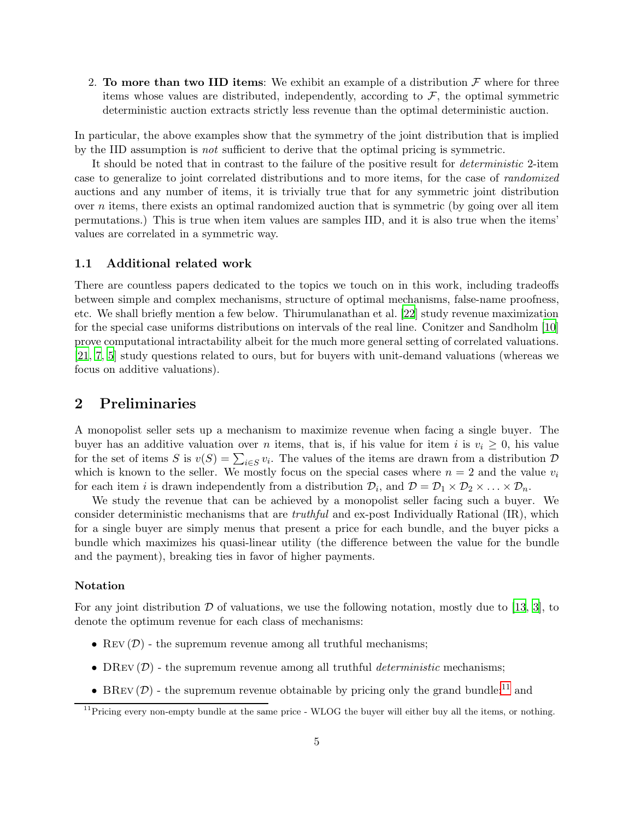2. To more than two IID items: We exhibit an example of a distribution  $\mathcal F$  where for three items whose values are distributed, independently, according to  $\mathcal{F}$ , the optimal symmetric deterministic auction extracts strictly less revenue than the optimal deterministic auction.

In particular, the above examples show that the symmetry of the joint distribution that is implied by the IID assumption is *not* sufficient to derive that the optimal pricing is symmetric.

It should be noted that in contrast to the failure of the positive result for *deterministic* 2-item case to generalize to joint correlated distributions and to more items, for the case of *randomized* auctions and any number of items, it is trivially true that for any symmetric joint distribution over n items, there exists an optimal randomized auction that is symmetric (by going over all item permutations.) This is true when item values are samples IID, and it is also true when the items' values are correlated in a symmetric way.

### 1.1 Additional related work

There are countless papers dedicated to the topics we touch on in this work, including tradeoffs between simple and complex mechanisms, structure of optimal mechanisms, false-name proofness, etc. We shall briefly mention a few below. Thirumulanathan et al. [\[22\]](#page-23-4) study revenue maximization for the special case uniforms distributions on intervals of the real line. Conitzer and Sandholm [\[10](#page-22-8)] prove computational intractability albeit for the much more general setting of correlated valuations. [\[21,](#page-23-5) [7,](#page-22-12) [5](#page-21-5)] study questions related to ours, but for buyers with unit-demand valuations (whereas we focus on additive valuations).

### 2 Preliminaries

A monopolist seller sets up a mechanism to maximize revenue when facing a single buyer. The buyer has an additive valuation over *n* items, that is, if his value for item i is  $v_i \geq 0$ , his value for the set of items S is  $v(S) = \sum_{i \in S} v_i$ . The values of the items are drawn from a distribution D which is known to the seller. We mostly focus on the special cases where  $n = 2$  and the value  $v_i$ for each item *i* is drawn independently from a distribution  $\mathcal{D}_i$ , and  $\mathcal{D} = \mathcal{D}_1 \times \mathcal{D}_2 \times \ldots \times \mathcal{D}_n$ .

We study the revenue that can be achieved by a monopolist seller facing such a buyer. We consider deterministic mechanisms that are *truthful* and ex-post Individually Rational (IR), which for a single buyer are simply menus that present a price for each bundle, and the buyer picks a bundle which maximizes his quasi-linear utility (the difference between the value for the bundle and the payment), breaking ties in favor of higher payments.

### Notation

For any joint distribution  $D$  of valuations, we use the following notation, mostly due to [\[13](#page-22-3), [3](#page-21-1)], to denote the optimum revenue for each class of mechanisms:

- REV  $(D)$  the supremum revenue among all truthful mechanisms;
- DREV  $(\mathcal{D})$  the supremum revenue among all truthful *deterministic* mechanisms;
- BREV  $(D)$  the supremum revenue obtainable by pricing only the grand bundle;<sup>[11](#page-4-0)</sup> and

<span id="page-4-0"></span><sup>&</sup>lt;sup>11</sup>Pricing every non-empty bundle at the same price - WLOG the buyer will either buy all the items, or nothing.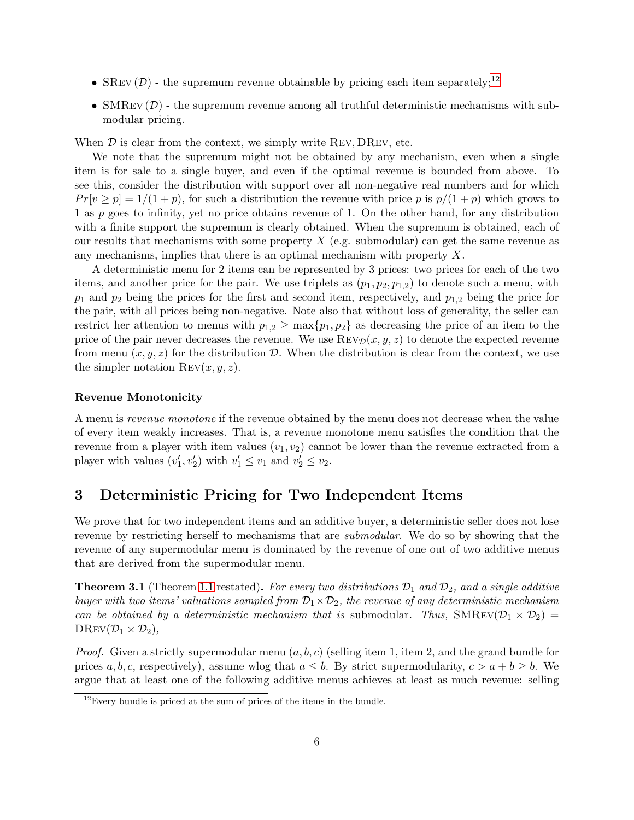- SREV  $(D)$  the supremum revenue obtainable by pricing each item separately;<sup>[12](#page-5-1)</sup>
- SMREV  $(D)$  the supremum revenue among all truthful deterministic mechanisms with submodular pricing.

When  $D$  is clear from the context, we simply write REV, DREV, etc.

We note that the supremum might not be obtained by any mechanism, even when a single item is for sale to a single buyer, and even if the optimal revenue is bounded from above. To see this, consider the distribution with support over all non-negative real numbers and for which  $Pr[v \ge p] = 1/(1+p)$ , for such a distribution the revenue with price p is  $p/(1+p)$  which grows to 1 as p goes to infinity, yet no price obtains revenue of 1. On the other hand, for any distribution with a finite support the supremum is clearly obtained. When the supremum is obtained, each of our results that mechanisms with some property  $X$  (e.g. submodular) can get the same revenue as any mechanisms, implies that there is an optimal mechanism with property  $X$ .

A deterministic menu for 2 items can be represented by 3 prices: two prices for each of the two items, and another price for the pair. We use triplets as  $(p_1, p_2, p_{1,2})$  to denote such a menu, with  $p_1$  and  $p_2$  being the prices for the first and second item, respectively, and  $p_{1,2}$  being the price for the pair, with all prices being non-negative. Note also that without loss of generality, the seller can restrict her attention to menus with  $p_{1,2} \ge \max\{p_1, p_2\}$  as decreasing the price of an item to the price of the pair never decreases the revenue. We use  $\text{Rev}_{\mathcal{D}}(x, y, z)$  to denote the expected revenue from menu  $(x, y, z)$  for the distribution D. When the distribution is clear from the context, we use the simpler notation  $\text{Rev}(x, y, z)$ .

#### Revenue Monotonicity

A menu is *revenue monotone* if the revenue obtained by the menu does not decrease when the value of every item weakly increases. That is, a revenue monotone menu satisfies the condition that the revenue from a player with item values  $(v_1, v_2)$  cannot be lower than the revenue extracted from a player with values  $(v'_1, v'_2)$  with  $v'_1 \le v_1$  and  $v'_2 \le v_2$ .

# <span id="page-5-0"></span>3 Deterministic Pricing for Two Independent Items

We prove that for two independent items and an additive buyer, a deterministic seller does not lose revenue by restricting herself to mechanisms that are *submodular*. We do so by showing that the revenue of any supermodular menu is dominated by the revenue of one out of two additive menus that are derived from the supermodular menu.

<span id="page-5-2"></span>**Theorem 3.1** (Theorem [1.1](#page-2-4) restated). For every two distributions  $\mathcal{D}_1$  and  $\mathcal{D}_2$ , and a single additive *buyer with two items' valuations sampled from*  $\mathcal{D}_1 \times \mathcal{D}_2$ , the revenue of any deterministic mechanism *can be obtained by a deterministic mechanism that is* submodular. Thus,  $SMREV(D_1 \times D_2)$  $D$ REV $(\mathcal{D}_1 \times \mathcal{D}_2)$ ,

*Proof.* Given a strictly supermodular menu  $(a, b, c)$  (selling item 1, item 2, and the grand bundle for prices a, b, c, respectively), assume wlog that  $a \leq b$ . By strict supermodularity,  $c > a + b \geq b$ . We argue that at least one of the following additive menus achieves at least as much revenue: selling

<span id="page-5-1"></span> $12$ Every bundle is priced at the sum of prices of the items in the bundle.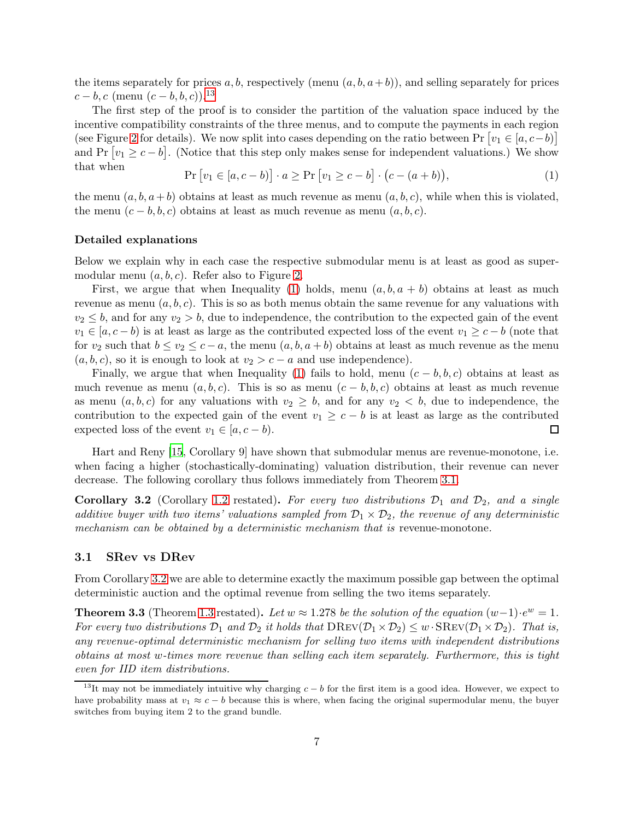the items separately for prices a, b, respectively (menu  $(a, b, a+b)$ ), and selling separately for prices  $c - b, c$  (menu  $(c - b, b, c)$ ).<sup>[13](#page-6-0)</sup>

The first step of the proof is to consider the partition of the valuation space induced by the incentive compatibility constraints of the three menus, and to compute the payments in each region (see Figure [2](#page-7-0) for details). We now split into cases depending on the ratio between Pr  $[v_1 \in [a, c-b)]$ and Pr  $[v_1 \geq c - b]$ . (Notice that this step only makes sense for independent valuations.) We show that when

<span id="page-6-1"></span>
$$
\Pr[v_1 \in [a, c - b)] \cdot a \ge \Pr[v_1 \ge c - b] \cdot (c - (a + b)),\tag{1}
$$

the menu  $(a, b, a+b)$  obtains at least as much revenue as menu  $(a, b, c)$ , while when this is violated, the menu  $(c - b, b, c)$  obtains at least as much revenue as menu  $(a, b, c)$ .

#### Detailed explanations

Below we explain why in each case the respective submodular menu is at least as good as supermodular menu  $(a, b, c)$ . Refer also to Figure [2.](#page-7-0)

First, we argue that when Inequality [\(1\)](#page-6-1) holds, menu  $(a, b, a + b)$  obtains at least as much revenue as menu  $(a, b, c)$ . This is so as both menus obtain the same revenue for any valuations with  $v_2 \leq b$ , and for any  $v_2 > b$ , due to independence, the contribution to the expected gain of the event  $v_1 \in [a, c - b)$  is at least as large as the contributed expected loss of the event  $v_1 \geq c - b$  (note that for  $v_2$  such that  $b \le v_2 \le c - a$ , the menu  $(a, b, a + b)$  obtains at least as much revenue as the menu  $(a, b, c)$ , so it is enough to look at  $v_2 > c - a$  and use independence).

Finally, we argue that when Inequality [\(1\)](#page-6-1) fails to hold, menu  $(c - b, b, c)$  obtains at least as much revenue as menu  $(a, b, c)$ . This is so as menu  $(c - b, b, c)$  obtains at least as much revenue as menu  $(a, b, c)$  for any valuations with  $v_2 \geq b$ , and for any  $v_2 < b$ , due to independence, the contribution to the expected gain of the event  $v_1 \geq c - b$  is at least as large as the contributed expected loss of the event  $v_1 \in [a, c - b)$ .  $\Box$ 

Hart and Reny [\[15](#page-22-4), Corollary 9] have shown that submodular menus are revenue-monotone, i.e. when facing a higher (stochastically-dominating) valuation distribution, their revenue can never decrease. The following corollary thus follows immediately from Theorem [3.1.](#page-5-2)

<span id="page-6-2"></span>**Corollary 3.2** (Corollary [1.2](#page-2-3) restated). For every two distributions  $\mathcal{D}_1$  and  $\mathcal{D}_2$ , and a single *additive buyer with two items' valuations sampled from*  $\mathcal{D}_1 \times \mathcal{D}_2$ , the revenue of any deterministic *mechanism can be obtained by a deterministic mechanism that is* revenue-monotone*.*

### 3.1 SRev vs DRev

From Corollary [3.2](#page-6-2) we are able to determine exactly the maximum possible gap between the optimal deterministic auction and the optimal revenue from selling the two items separately.

<span id="page-6-3"></span>**Theorem 3.3** (Theorem [1.3](#page-2-5) restated). Let  $w \approx 1.278$  be the solution of the equation  $(w-1) \cdot e^w = 1$ . *For every two distributions*  $\mathcal{D}_1$  *and*  $\mathcal{D}_2$  *it holds that*  $\text{DRev}(\mathcal{D}_1 \times \mathcal{D}_2) \leq w \cdot \text{SREV}(\mathcal{D}_1 \times \mathcal{D}_2)$ *. That is, any revenue-optimal deterministic mechanism for selling two items with independent distributions obtains at most* w*-times more revenue than selling each item separately. Furthermore, this is tight even for IID item distributions.*

<span id="page-6-0"></span><sup>&</sup>lt;sup>13</sup>It may not be immediately intuitive why charging  $c - b$  for the first item is a good idea. However, we expect to have probability mass at  $v_1 \approx c - b$  because this is where, when facing the original supermodular menu, the buyer switches from buying item 2 to the grand bundle.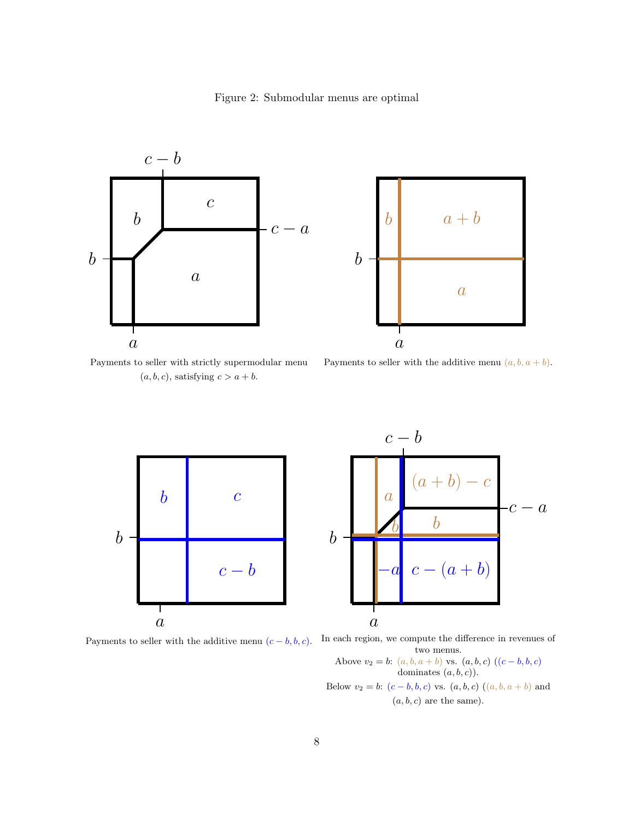<span id="page-7-0"></span>





Payments to seller with strictly supermodular menu  $(a, b, c)$ , satisfying  $c > a + b$ .

Payments to seller with the additive menu  $(a, b, a + b)$ .





Payments to seller with the additive menu  $(c - b, b, c)$ . In each region, we compute the difference in revenues of two menus.

Above 
$$
v_2 = b
$$
:  $(a, b, a + b)$  vs.  $(a, b, c)$   $((c - b, b, c))$   
dominates  $(a, b, c)$ ).  
Below  $v_2 = b$ :  $(c - b, b, c)$  vs.  $(a, b, c)$   $((a, b, a + b))$  and  
 $(a, b, c)$  are the same).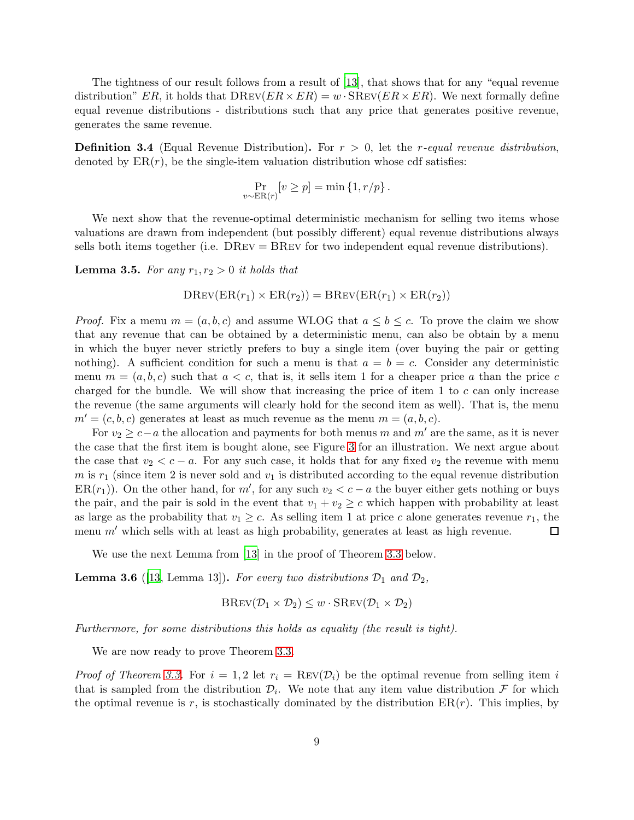The tightness of our result follows from a result of [\[13](#page-22-3)], that shows that for any "equal revenue distribution" ER, it holds that  $D$ REV $(ER \times ER) = w \cdot$ SREV $(ER \times ER)$ . We next formally define equal revenue distributions - distributions such that any price that generates positive revenue, generates the same revenue.

Definition 3.4 (Equal Revenue Distribution). For r > 0, let the r*-equal revenue distribution*, denoted by  $ER(r)$ , be the single-item valuation distribution whose cdf satisfies:

$$
\Pr_{v \sim ER(r)}[v \ge p] = \min\left\{1, r/p\right\}.
$$

We next show that the revenue-optimal deterministic mechanism for selling two items whose valuations are drawn from independent (but possibly different) equal revenue distributions always sells both items together (i.e. DRev = BRev for two independent equal revenue distributions).

<span id="page-8-0"></span>**Lemma 3.5.** For any  $r_1, r_2 > 0$  it holds that

$$
DREV(ER(r_1) \times ER(r_2)) = BREV(ER(r_1) \times ER(r_2))
$$

*Proof.* Fix a menu  $m = (a, b, c)$  and assume WLOG that  $a \leq b \leq c$ . To prove the claim we show that any revenue that can be obtained by a deterministic menu, can also be obtain by a menu in which the buyer never strictly prefers to buy a single item (over buying the pair or getting nothing). A sufficient condition for such a menu is that  $a = b = c$ . Consider any deterministic menu  $m = (a, b, c)$  such that  $a < c$ , that is, it sells item 1 for a cheaper price a than the price c charged for the bundle. We will show that increasing the price of item 1 to  $c$  can only increase the revenue (the same arguments will clearly hold for the second item as well). That is, the menu  $m' = (c, b, c)$  generates at least as much revenue as the menu  $m = (a, b, c)$ .

For  $v_2 \geq c-a$  the allocation and payments for both menus m and m' are the same, as it is never the case that the first item is bought alone, see Figure [3](#page-9-0) for an illustration. We next argue about the case that  $v_2 < c - a$ . For any such case, it holds that for any fixed  $v_2$  the revenue with menu m is  $r_1$  (since item 2 is never sold and  $v_1$  is distributed according to the equal revenue distribution ER( $r_1$ )). On the other hand, for m', for any such  $v_2 < c - a$  the buyer either gets nothing or buys the pair, and the pair is sold in the event that  $v_1 + v_2 \geq c$  which happen with probability at least as large as the probability that  $v_1 \geq c$ . As selling item 1 at price c alone generates revenue  $r_1$ , the menu  $m'$  which sells with at least as high probability, generates at least as high revenue. □

We use the next Lemma from [\[13](#page-22-3)] in the proof of Theorem [3.3](#page-6-3) below.

<span id="page-8-1"></span>**Lemma 3.6** ([\[13,](#page-22-3) Lemma 13]). For every two distributions  $\mathcal{D}_1$  and  $\mathcal{D}_2$ ,

$$
BREV(\mathcal{D}_1 \times \mathcal{D}_2) \leq w \cdot SREV(\mathcal{D}_1 \times \mathcal{D}_2)
$$

*Furthermore, for some distributions this holds as equality (the result is tight).*

We are now ready to prove Theorem [3.3.](#page-6-3)

*Proof of Theorem [3.3.](#page-6-3)* For  $i = 1, 2$  let  $r_i = \text{Rev}(\mathcal{D}_i)$  be the optimal revenue from selling item i that is sampled from the distribution  $\mathcal{D}_i$ . We note that any item value distribution  $\mathcal F$  for which the optimal revenue is r, is stochastically dominated by the distribution  $ER(r)$ . This implies, by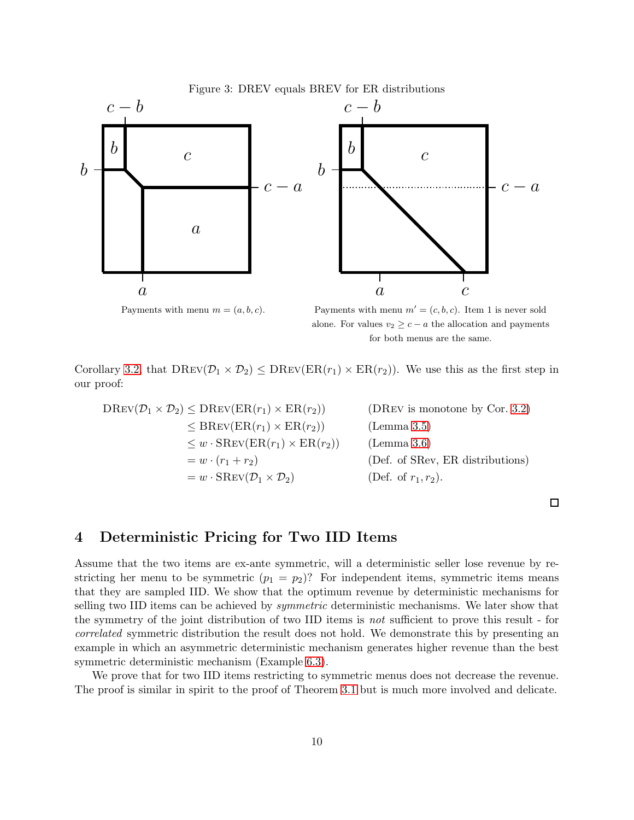<span id="page-9-0"></span>

Payments with menu  $m = (a, b, c)$ .

Payments with menu  $m' = (c, b, c)$ . Item 1 is never sold alone. For values  $v_2 \geq c - a$  the allocation and payments for both menus are the same.

Corollary [3.2,](#page-6-2) that  $\text{DRev}(\mathcal{D}_1 \times \mathcal{D}_2) \leq \text{DRev}(\text{ER}(r_1) \times \text{ER}(r_2))$ . We use this as the first step in our proof:

$$
DREV(\mathcal{D}_1 \times \mathcal{D}_2) \leq DREV(ER(r_1) \times ER(r_2))
$$
 (DREV is monotone by Cor. 3.2)  
\n
$$
\leq BREV(ER(r_1) \times ER(r_2))
$$
 (Lemma 3.5)  
\n
$$
\leq w \cdot SREV(ER(r_1) \times ER(r_2))
$$
 (Lemma 3.6)  
\n
$$
= w \cdot (r_1 + r_2)
$$
 (Def. of SRev, ER distributions)  
\n
$$
= w \cdot SREV(\mathcal{D}_1 \times \mathcal{D}_2)
$$
 (Def. of  $r_1, r_2$ ).

 $\Box$ 

### 4 Deterministic Pricing for Two IID Items

Assume that the two items are ex-ante symmetric, will a deterministic seller lose revenue by restricting her menu to be symmetric  $(p_1 = p_2)$ ? For independent items, symmetric items means that they are sampled IID. We show that the optimum revenue by deterministic mechanisms for selling two IID items can be achieved by *symmetric* deterministic mechanisms. We later show that the symmetry of the joint distribution of two IID items is *not* sufficient to prove this result - for *correlated* symmetric distribution the result does not hold. We demonstrate this by presenting an example in which an asymmetric deterministic mechanism generates higher revenue than the best symmetric deterministic mechanism (Example [6.3\)](#page-17-0).

We prove that for two IID items restricting to symmetric menus does not decrease the revenue. The proof is similar in spirit to the proof of Theorem [3.1](#page-5-2) but is much more involved and delicate.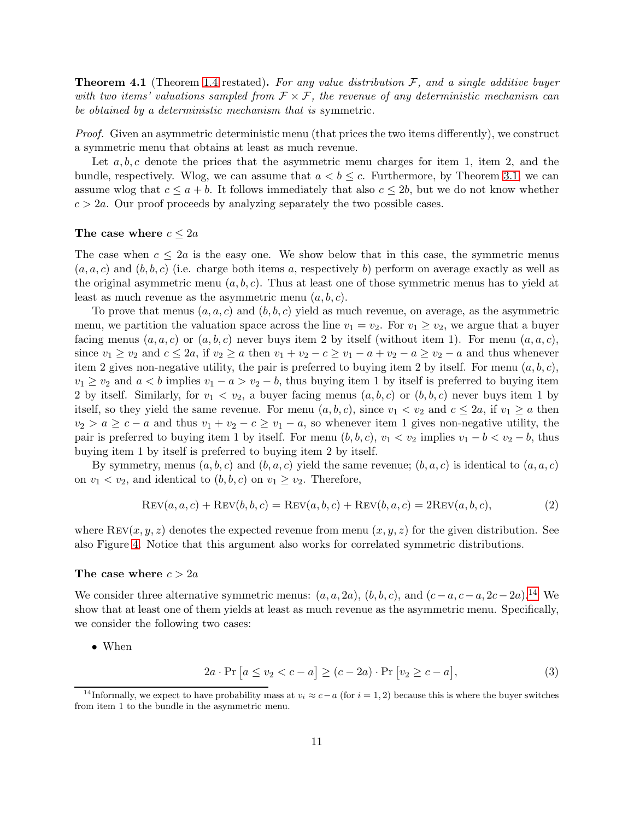<span id="page-10-2"></span>Theorem 4.1 (Theorem [1.4](#page-3-4) restated). *For any value distribution* F*, and a single additive buyer with two items' valuations sampled from* F × F*, the revenue of any deterministic mechanism can be obtained by a deterministic mechanism that is* symmetric*.*

*Proof.* Given an asymmetric deterministic menu (that prices the two items differently), we construct a symmetric menu that obtains at least as much revenue.

Let  $a, b, c$  denote the prices that the asymmetric menu charges for item 1, item 2, and the bundle, respectively. Wlog, we can assume that  $a < b \leq c$ . Furthermore, by Theorem [3.1,](#page-5-2) we can assume wlog that  $c \le a + b$ . It follows immediately that also  $c \le 2b$ , but we do not know whether  $c > 2a$ . Our proof proceeds by analyzing separately the two possible cases.

### The case where  $c \leq 2a$

The case when  $c \leq 2a$  is the easy one. We show below that in this case, the symmetric menus  $(a, a, c)$  and  $(b, b, c)$  (i.e. charge both items a, respectively b) perform on average exactly as well as the original asymmetric menu  $(a, b, c)$ . Thus at least one of those symmetric menus has to yield at least as much revenue as the asymmetric menu  $(a, b, c)$ .

To prove that menus  $(a, a, c)$  and  $(b, b, c)$  yield as much revenue, on average, as the asymmetric menu, we partition the valuation space across the line  $v_1 = v_2$ . For  $v_1 \ge v_2$ , we argue that a buyer facing menus  $(a, a, c)$  or  $(a, b, c)$  never buys item 2 by itself (without item 1). For menu  $(a, a, c)$ , since  $v_1 \ge v_2$  and  $c \le 2a$ , if  $v_2 \ge a$  then  $v_1 + v_2 - c \ge v_1 - a + v_2 - a \ge v_2 - a$  and thus whenever item 2 gives non-negative utility, the pair is preferred to buying item 2 by itself. For menu  $(a, b, c)$ ,  $v_1 \ge v_2$  and  $a < b$  implies  $v_1 - a > v_2 - b$ , thus buying item 1 by itself is preferred to buying item 2 by itself. Similarly, for  $v_1 < v_2$ , a buyer facing menus  $(a, b, c)$  or  $(b, b, c)$  never buys item 1 by itself, so they yield the same revenue. For menu  $(a, b, c)$ , since  $v_1 < v_2$  and  $c \le 2a$ , if  $v_1 \ge a$  then  $v_2 > a \geq c - a$  and thus  $v_1 + v_2 - c \geq v_1 - a$ , so whenever item 1 gives non-negative utility, the pair is preferred to buying item 1 by itself. For menu  $(b, b, c)$ ,  $v_1 < v_2$  implies  $v_1 - b < v_2 - b$ , thus buying item 1 by itself is preferred to buying item 2 by itself.

By symmetry, menus  $(a, b, c)$  and  $(b, a, c)$  yield the same revenue;  $(b, a, c)$  is identical to  $(a, a, c)$ on  $v_1 < v_2$ , and identical to  $(b, b, c)$  on  $v_1 \ge v_2$ . Therefore,

$$
REV(a, a, c) + REV(b, b, c) = REV(a, b, c) + REV(b, a, c) = 2REV(a, b, c),
$$
\n(2)

where  $\text{Rev}(x, y, z)$  denotes the expected revenue from menu  $(x, y, z)$  for the given distribution. See also Figure [4.](#page-11-0) Notice that this argument also works for correlated symmetric distributions.

#### The case where  $c > 2a$

We consider three alternative symmetric menus:  $(a, a, 2a)$ ,  $(b, b, c)$ , and  $(c-a, c-a, 2c-2a)$ .<sup>[14](#page-10-0)</sup> We show that at least one of them yields at least as much revenue as the asymmetric menu. Specifically, we consider the following two cases:

• When

<span id="page-10-1"></span>
$$
2a \cdot \Pr\left[a \le v_2 < c - a\right] \ge (c - 2a) \cdot \Pr\left[v_2 \ge c - a\right],\tag{3}
$$

<span id="page-10-0"></span><sup>&</sup>lt;sup>14</sup>Informally, we expect to have probability mass at  $v_i \approx c - a$  (for  $i = 1, 2$ ) because this is where the buyer switches from item 1 to the bundle in the asymmetric menu.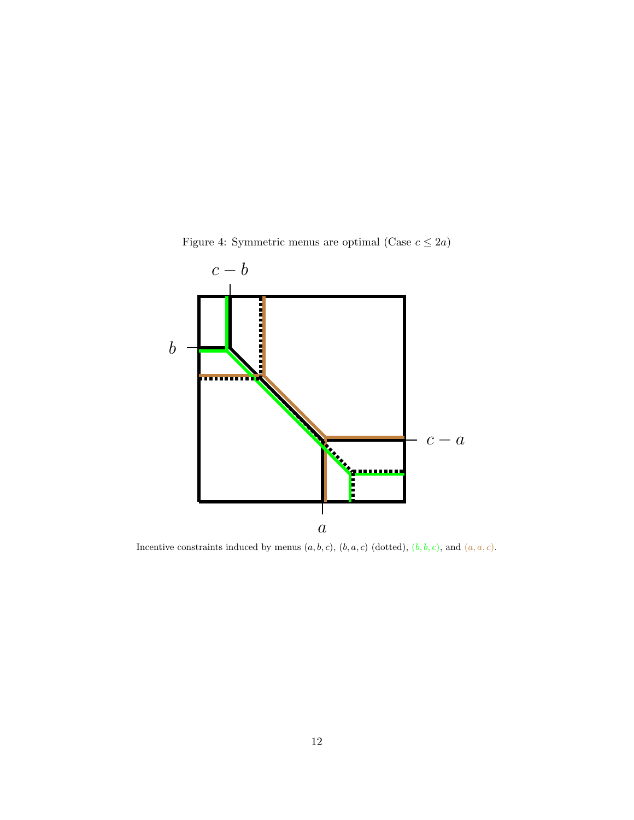

<span id="page-11-0"></span>Figure 4: Symmetric menus are optimal (Case  $c \leq 2a)$ 

Incentive constraints induced by menus  $(a, b, c)$ ,  $(b, a, c)$  (dotted),  $(b, b, c)$ , and  $(a, a, c)$ .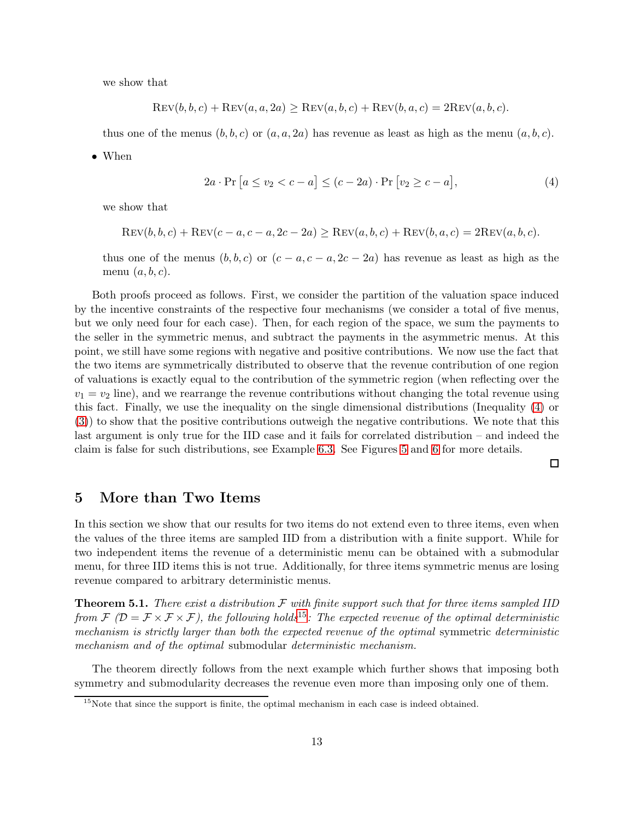we show that

$$
REV(b, b, c) + REV(a, a, 2a) \geq REV(a, b, c) + REV(b, a, c) = 2REV(a, b, c).
$$

thus one of the menus  $(b, b, c)$  or  $(a, a, 2a)$  has revenue as least as high as the menu  $(a, b, c)$ .

• When

$$
2a \cdot \Pr\left[a \le v_2 < c - a\right] \le (c - 2a) \cdot \Pr\left[v_2 \ge c - a\right],\tag{4}
$$

we show that

$$
REV(b, b, c) + REV(c - a, c - a, 2c - 2a) \geq REV(a, b, c) + REV(b, a, c) = 2REV(a, b, c).
$$

thus one of the menus  $(b, b, c)$  or  $(c - a, c - a, 2c - 2a)$  has revenue as least as high as the menu  $(a, b, c)$ .

Both proofs proceed as follows. First, we consider the partition of the valuation space induced by the incentive constraints of the respective four mechanisms (we consider a total of five menus, but we only need four for each case). Then, for each region of the space, we sum the payments to the seller in the symmetric menus, and subtract the payments in the asymmetric menus. At this point, we still have some regions with negative and positive contributions. We now use the fact that the two items are symmetrically distributed to observe that the revenue contribution of one region of valuations is exactly equal to the contribution of the symmetric region (when reflecting over the  $v_1 = v_2$  line), and we rearrange the revenue contributions without changing the total revenue using this fact. Finally, we use the inequality on the single dimensional distributions (Inequality [\(4\)](#page-12-0) or [\(3\)](#page-10-1)) to show that the positive contributions outweigh the negative contributions. We note that this last argument is only true for the IID case and it fails for correlated distribution – and indeed the claim is false for such distributions, see Example [6.3.](#page-17-0) See Figures [5](#page-13-0) and [6](#page-14-0) for more details.

<span id="page-12-0"></span> $\Box$ 

### 5 More than Two Items

In this section we show that our results for two items do not extend even to three items, even when the values of the three items are sampled IID from a distribution with a finite support. While for two independent items the revenue of a deterministic menu can be obtained with a submodular menu, for three IID items this is not true. Additionally, for three items symmetric menus are losing revenue compared to arbitrary deterministic menus.

Theorem 5.1. *There exist a distribution* F *with finite support such that for three items sampled IID from*  $\mathcal{F}$   $(\mathcal{D} = \mathcal{F} \times \mathcal{F} \times \mathcal{F})$ , the following holds<sup>[15](#page-12-1)</sup>: The expected revenue of the optimal deterministic *mechanism is strictly larger than both the expected revenue of the optimal* symmetric *deterministic mechanism and of the optimal* submodular *deterministic mechanism.*

The theorem directly follows from the next example which further shows that imposing both symmetry and submodularity decreases the revenue even more than imposing only one of them.

<span id="page-12-1"></span> $15$ Note that since the support is finite, the optimal mechanism in each case is indeed obtained.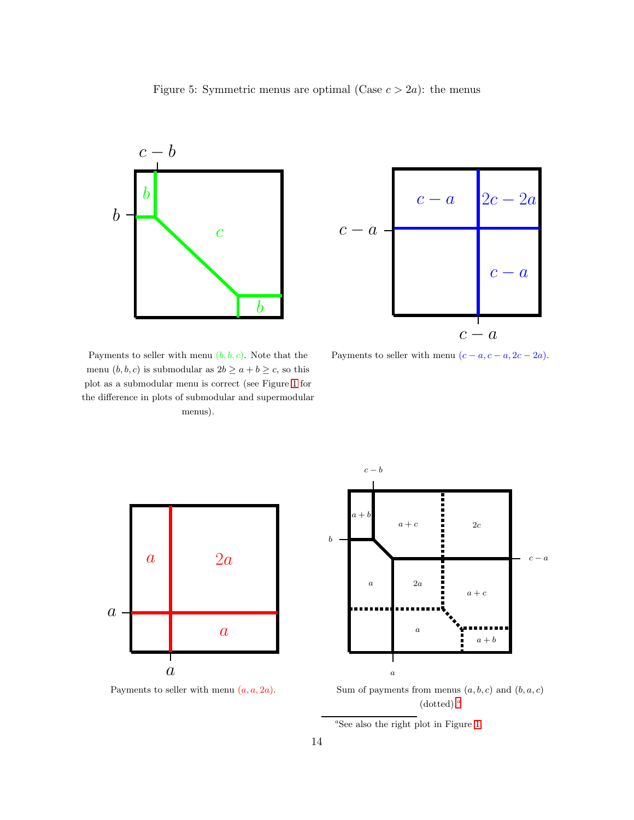<span id="page-13-0"></span>



Payments to seller with menu  $(b, b, c)$ . Note that the menu $(b, b, c)$  is submodular as  $2b \geq a+b \geq c,$  so this plot as a submodular menu is correct (see Figure [1](#page-1-2) for the difference in plots of submodular and supermodular menus).

Payments to seller with menu  $(c - a, c - a, 2c - 2a)$ .



Payments to seller with menu  $(a, a, 2a)$ .



Sum of payments from menus  $(a, b, c)$  and  $(b, a, c)$  $(dotted).<sup>a</sup>$  $(dotted).<sup>a</sup>$  $(dotted).<sup>a</sup>$ 

<span id="page-13-1"></span>a See also the right plot in Figure [1.](#page-1-2)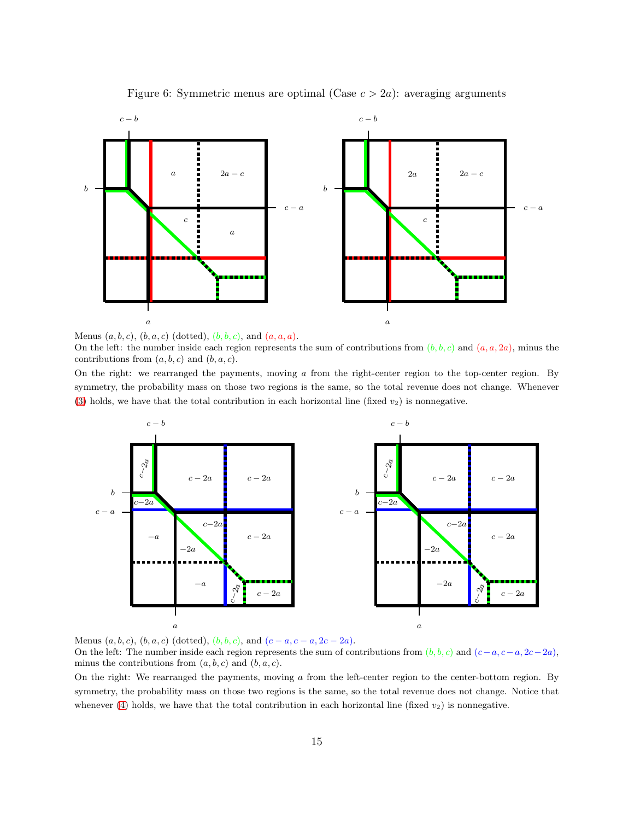

<span id="page-14-0"></span>Figure 6: Symmetric menus are optimal (Case  $c > 2a$ ): averaging arguments

Menus  $(a, b, c), (b, a, c)$  (dotted),  $(b, b, c)$ , and  $(a, a, a)$ .

On the left: the number inside each region represents the sum of contributions from  $(b, b, c)$  and  $(a, a, 2a)$ , minus the contributions from  $(a, b, c)$  and  $(b, a, c)$ .

On the right: we rearranged the payments, moving  $a$  from the right-center region to the top-center region. By symmetry, the probability mass on those two regions is the same, so the total revenue does not change. Whenever [\(3\)](#page-10-1) holds, we have that the total contribution in each horizontal line (fixed  $v_2$ ) is nonnegative.



Menus  $(a, b, c), (b, a, c)$  (dotted),  $(b, b, c)$ , and  $(c - a, c - a, 2c - 2a)$ .

On the left: The number inside each region represents the sum of contributions from  $(b, b, c)$  and  $(c-a, c-a, 2c-2a)$ , minus the contributions from  $(a, b, c)$  and  $(b, a, c)$ .

On the right: We rearranged the payments, moving a from the left-center region to the center-bottom region. By symmetry, the probability mass on those two regions is the same, so the total revenue does not change. Notice that whenever [\(4\)](#page-12-0) holds, we have that the total contribution in each horizontal line (fixed  $v_2$ ) is nonnegative.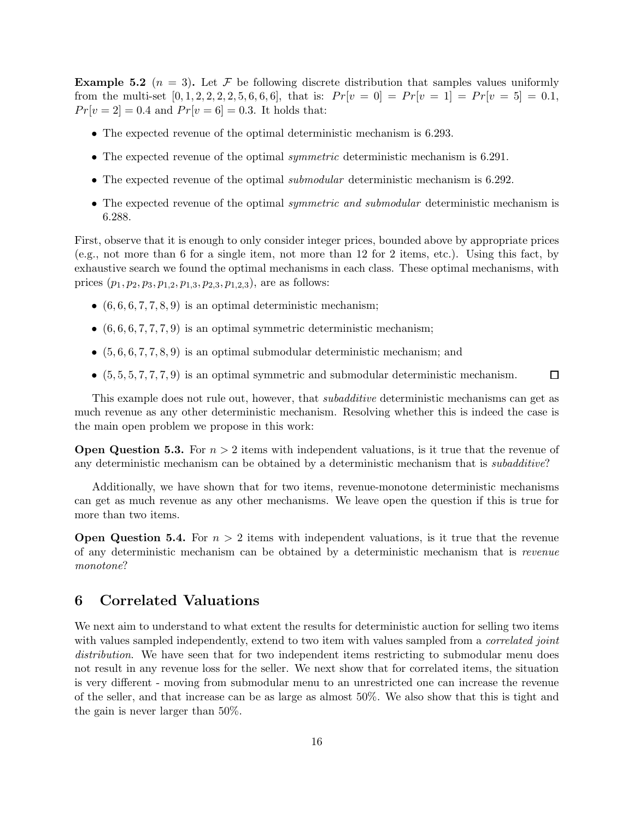**Example 5.2** ( $n = 3$ ). Let F be following discrete distribution that samples values uniformly from the multi-set  $[0, 1, 2, 2, 2, 2, 5, 6, 6, 6]$ , that is:  $Pr[v = 0] = Pr[v = 1] = Pr[v = 5] = 0.1$ ,  $Pr[v = 2] = 0.4$  and  $Pr[v = 6] = 0.3$ . It holds that:

- The expected revenue of the optimal deterministic mechanism is 6.293.
- The expected revenue of the optimal *symmetric* deterministic mechanism is 6.291.
- The expected revenue of the optimal *submodular* deterministic mechanism is 6.292.
- The expected revenue of the optimal *symmetric and submodular* deterministic mechanism is 6.288.

First, observe that it is enough to only consider integer prices, bounded above by appropriate prices (e.g., not more than 6 for a single item, not more than 12 for 2 items, etc.). Using this fact, by exhaustive search we found the optimal mechanisms in each class. These optimal mechanisms, with prices  $(p_1, p_2, p_3, p_{1,2}, p_{1,3}, p_{2,3}, p_{1,2,3})$ , are as follows:

- $(6, 6, 6, 7, 7, 8, 9)$  is an optimal deterministic mechanism;
- $(6, 6, 6, 7, 7, 7, 9)$  is an optimal symmetric deterministic mechanism;
- $(5, 6, 6, 7, 7, 8, 9)$  is an optimal submodular deterministic mechanism; and
- $\bullet$   $(5, 5, 5, 7, 7, 7, 9)$  is an optimal symmetric and submodular deterministic mechanism.  $\Gamma$

This example does not rule out, however, that *subadditive* deterministic mechanisms can get as much revenue as any other deterministic mechanism. Resolving whether this is indeed the case is the main open problem we propose in this work:

**Open Question 5.3.** For  $n > 2$  items with independent valuations, is it true that the revenue of any deterministic mechanism can be obtained by a deterministic mechanism that is *subadditive*?

Additionally, we have shown that for two items, revenue-monotone deterministic mechanisms can get as much revenue as any other mechanisms. We leave open the question if this is true for more than two items.

**Open Question 5.4.** For  $n > 2$  items with independent valuations, is it true that the revenue of any deterministic mechanism can be obtained by a deterministic mechanism that is *revenue monotone*?

## 6 Correlated Valuations

We next aim to understand to what extent the results for deterministic auction for selling two items with values sampled independently, extend to two item with values sampled from a *correlated joint distribution*. We have seen that for two independent items restricting to submodular menu does not result in any revenue loss for the seller. We next show that for correlated items, the situation is very different - moving from submodular menu to an unrestricted one can increase the revenue of the seller, and that increase can be as large as almost 50%. We also show that this is tight and the gain is never larger than 50%.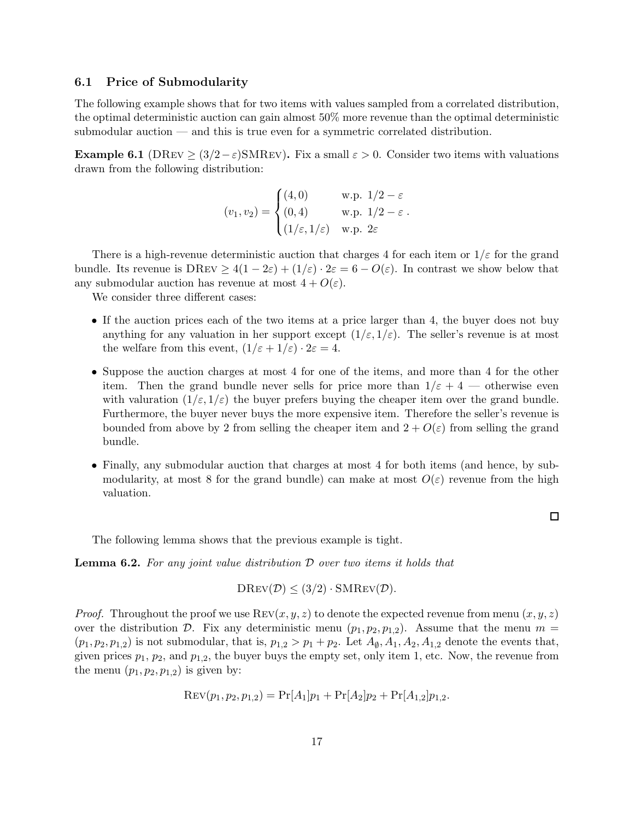### 6.1 Price of Submodularity

The following example shows that for two items with values sampled from a correlated distribution, the optimal deterministic auction can gain almost 50% more revenue than the optimal deterministic submodular auction — and this is true even for a symmetric correlated distribution.

**Example 6.1** (DREV >  $(3/2-\varepsilon)$ SMREV). Fix a small  $\varepsilon > 0$ . Consider two items with valuations drawn from the following distribution:

$$
(v_1, v_2) = \begin{cases} (4,0) & \text{w.p. } 1/2 - \varepsilon \\ (0,4) & \text{w.p. } 1/2 - \varepsilon \\ (1/\varepsilon, 1/\varepsilon) & \text{w.p. } 2\varepsilon \end{cases}
$$

There is a high-revenue deterministic auction that charges 4 for each item or  $1/\varepsilon$  for the grand bundle. Its revenue is  $DREV \geq 4(1-2\varepsilon) + (1/\varepsilon) \cdot 2\varepsilon = 6 - O(\varepsilon)$ . In contrast we show below that any submodular auction has revenue at most  $4 + O(\varepsilon)$ .

We consider three different cases:

- If the auction prices each of the two items at a price larger than 4, the buyer does not buy anything for any valuation in her support except  $(1/\varepsilon, 1/\varepsilon)$ . The seller's revenue is at most the welfare from this event,  $(1/\varepsilon + 1/\varepsilon) \cdot 2\varepsilon = 4$ .
- Suppose the auction charges at most 4 for one of the items, and more than 4 for the other item. Then the grand bundle never sells for price more than  $1/\varepsilon + 4$  — otherwise even with valuration  $(1/\varepsilon, 1/\varepsilon)$  the buyer prefers buying the cheaper item over the grand bundle. Furthermore, the buyer never buys the more expensive item. Therefore the seller's revenue is bounded from above by 2 from selling the cheaper item and  $2 + O(\varepsilon)$  from selling the grand bundle.
- Finally, any submodular auction that charges at most 4 for both items (and hence, by submodularity, at most 8 for the grand bundle) can make at most  $O(\varepsilon)$  revenue from the high valuation.

 $\Box$ 

The following lemma shows that the previous example is tight.

Lemma 6.2. *For any joint value distribution* D *over two items it holds that*

$$
D\text{Rev}(\mathcal{D}) \leq (3/2) \cdot \text{SMRev}(\mathcal{D}).
$$

*Proof.* Throughout the proof we use  $\text{Rev}(x, y, z)$  to denote the expected revenue from menu  $(x, y, z)$ over the distribution D. Fix any deterministic menu  $(p_1, p_2, p_{1,2})$ . Assume that the menu  $m =$  $(p_1, p_2, p_{1,2})$  is not submodular, that is,  $p_{1,2} > p_1 + p_2$ . Let  $A_{\emptyset}$ ,  $A_1$ ,  $A_2$ ,  $A_{1,2}$  denote the events that, given prices  $p_1$ ,  $p_2$ , and  $p_{1,2}$ , the buyer buys the empty set, only item 1, etc. Now, the revenue from the menu  $(p_1, p_2, p_{1,2})$  is given by:

$$
Rev(p_1, p_2, p_{1,2}) = Pr[A_1]p_1 + Pr[A_2]p_2 + Pr[A_{1,2}]p_{1,2}.
$$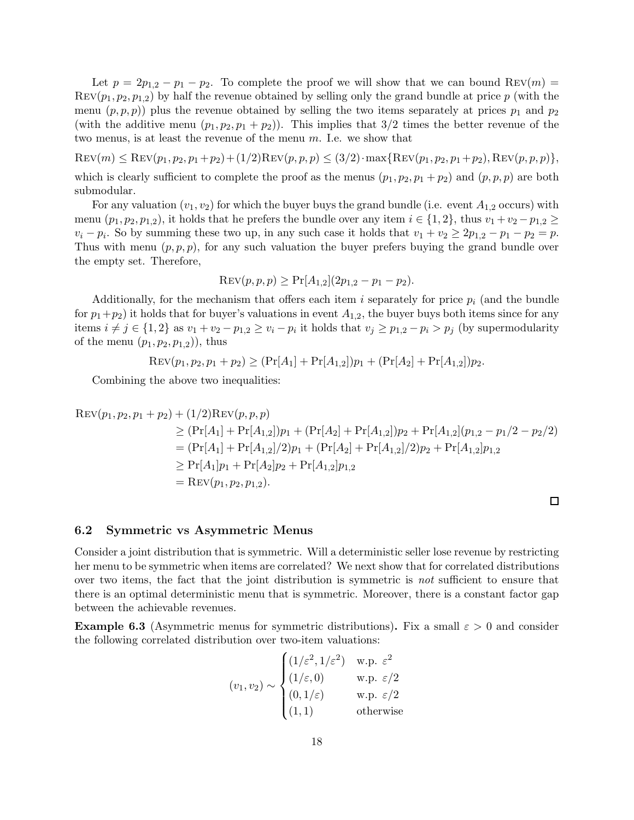Let  $p = 2p_{1,2} - p_1 - p_2$ . To complete the proof we will show that we can bound REV(m) =  $\text{Rev}(p_1, p_2, p_{1,2})$  by half the revenue obtained by selling only the grand bundle at price p (with the menu  $(p, p, p)$  plus the revenue obtained by selling the two items separately at prices  $p_1$  and  $p_2$ (with the additive menu  $(p_1, p_2, p_1 + p_2)$ ). This implies that  $3/2$  times the better revenue of the two menus, is at least the revenue of the menu m. I.e. we show that

 $\text{Rev}(m) \leq \text{Rev}(p_1, p_2, p_1 + p_2) + (1/2)\text{Rev}(p, p, p) \leq (3/2) \cdot \max\{\text{Rev}(p_1, p_2, p_1 + p_2), \text{Rev}(p, p, p)\},\$ which is clearly sufficient to complete the proof as the menus  $(p_1, p_2, p_1 + p_2)$  and  $(p, p, p)$  are both submodular.

For any valuation  $(v_1, v_2)$  for which the buyer buys the grand bundle (i.e. event  $A_{1,2}$  occurs) with menu  $(p_1, p_2, p_{1,2})$ , it holds that he prefers the bundle over any item  $i \in \{1,2\}$ , thus  $v_1 + v_2 - p_{1,2} \geq$  $v_i - p_i$ . So by summing these two up, in any such case it holds that  $v_1 + v_2 \ge 2p_{1,2} - p_1 - p_2 = p$ . Thus with menu  $(p, p, p)$ , for any such valuation the buyer prefers buying the grand bundle over the empty set. Therefore,

$$
Rev(p, p, p) \geq Pr[A_{1,2}](2p_{1,2} - p_1 - p_2).
$$

Additionally, for the mechanism that offers each item i separately for price  $p_i$  (and the bundle for  $p_1+p_2$ ) it holds that for buyer's valuations in event  $A_{1,2}$ , the buyer buys both items since for any items  $i \neq j \in \{1,2\}$  as  $v_1 + v_2 - p_{1,2} \geq v_i - p_i$  it holds that  $v_j \geq p_{1,2} - p_i > p_j$  (by supermodularity of the menu  $(p_1, p_2, p_{1,2})$ , thus

 $\text{Rev}(p_1, p_2, p_1 + p_2) \geq (\text{Pr}[A_1] + \text{Pr}[A_{1,2}])p_1 + (\text{Pr}[A_2] + \text{Pr}[A_{1,2}])p_2.$ 

Combining the above two inequalities:

$$
Rev(p_1, p_2, p_1 + p_2) + (1/2) REV(p, p, p)
$$
  
\n
$$
\geq (Pr[A_1] + Pr[A_{1,2}])p_1 + (Pr[A_2] + Pr[A_{1,2}])p_2 + Pr[A_{1,2}](p_{1,2} - p_1/2 - p_2/2)
$$
  
\n
$$
= (Pr[A_1] + Pr[A_{1,2}]/2)p_1 + (Pr[A_2] + Pr[A_{1,2}]/2)p_2 + Pr[A_{1,2}]p_{1,2}
$$
  
\n
$$
\geq Pr[A_1]p_1 + Pr[A_2]p_2 + Pr[A_{1,2}]p_{1,2}
$$
  
\n
$$
= REV(p_1, p_2, p_{1,2}).
$$

### 6.2 Symmetric vs Asymmetric Menus

Consider a joint distribution that is symmetric. Will a deterministic seller lose revenue by restricting her menu to be symmetric when items are correlated? We next show that for correlated distributions over two items, the fact that the joint distribution is symmetric is *not* sufficient to ensure that there is an optimal deterministic menu that is symmetric. Moreover, there is a constant factor gap between the achievable revenues.

<span id="page-17-0"></span>**Example 6.3** (Asymmetric menus for symmetric distributions). Fix a small  $\varepsilon > 0$  and consider the following correlated distribution over two-item valuations:

$$
(v_1, v_2) \sim \begin{cases} (1/\varepsilon^2, 1/\varepsilon^2) & \text{w.p. } \varepsilon^2\\ (1/\varepsilon, 0) & \text{w.p. } \varepsilon/2\\ (0, 1/\varepsilon) & \text{w.p. } \varepsilon/2\\ (1, 1) & \text{otherwise} \end{cases}
$$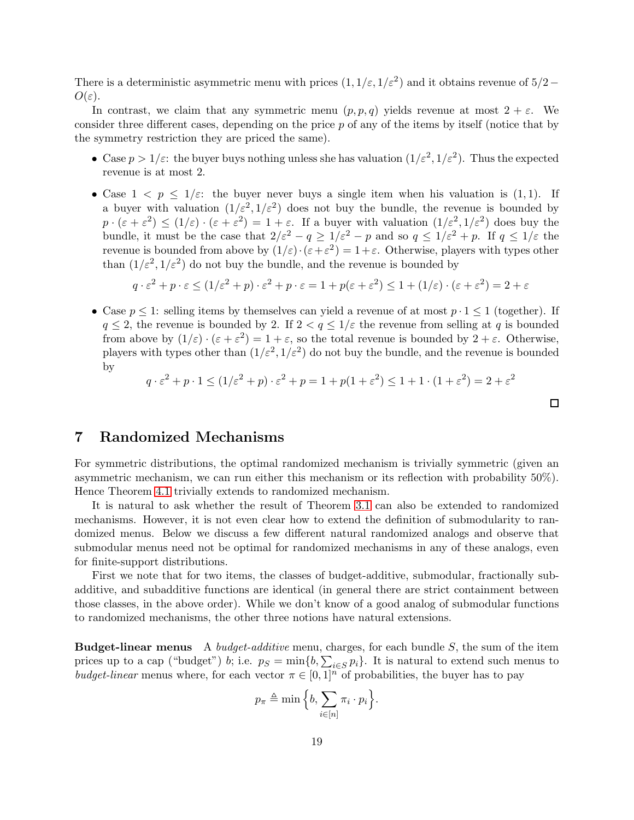There is a deterministic asymmetric menu with prices  $(1, 1/\varepsilon, 1/\varepsilon^2)$  and it obtains revenue of  $5/2$  –  $O(\varepsilon)$ .

In contrast, we claim that any symmetric menu  $(p, p, q)$  yields revenue at most  $2 + \varepsilon$ . We consider three different cases, depending on the price p of any of the items by itself (notice that by the symmetry restriction they are priced the same).

- Case  $p > 1/\varepsilon$ : the buyer buys nothing unless she has valuation  $(1/\varepsilon^2, 1/\varepsilon^2)$ . Thus the expected revenue is at most 2.
- Case  $1 < p \leq 1/\varepsilon$ : the buyer never buys a single item when his valuation is (1,1). If a buyer with valuation  $(1/\varepsilon^2, 1/\varepsilon^2)$  does not buy the bundle, the revenue is bounded by  $p \cdot (\varepsilon + \varepsilon^2) \leq (1/\varepsilon) \cdot (\varepsilon + \varepsilon^2) = 1 + \varepsilon$ . If a buyer with valuation  $(1/\varepsilon^2, 1/\varepsilon^2)$  does buy the bundle, it must be the case that  $2/\varepsilon^2 - q \ge 1/\varepsilon^2 - p$  and so  $q \le 1/\varepsilon^2 + p$ . If  $q \le 1/\varepsilon$  the revenue is bounded from above by  $(1/\varepsilon) \cdot (\varepsilon + \varepsilon^2) = 1 + \varepsilon$ . Otherwise, players with types other than  $(1/\varepsilon^2, 1/\varepsilon^2)$  do not buy the bundle, and the revenue is bounded by

$$
q \cdot \varepsilon^2 + p \cdot \varepsilon \le (1/\varepsilon^2 + p) \cdot \varepsilon^2 + p \cdot \varepsilon = 1 + p(\varepsilon + \varepsilon^2) \le 1 + (1/\varepsilon) \cdot (\varepsilon + \varepsilon^2) = 2 + \varepsilon
$$

• Case  $p \leq 1$ : selling items by themselves can yield a revenue of at most  $p \cdot 1 \leq 1$  (together). If  $q \leq 2$ , the revenue is bounded by 2. If  $2 < q \leq 1/\varepsilon$  the revenue from selling at q is bounded from above by  $(1/\varepsilon) \cdot (\varepsilon + \varepsilon^2) = 1 + \varepsilon$ , so the total revenue is bounded by  $2 + \varepsilon$ . Otherwise, players with types other than  $(1/\varepsilon^2, 1/\varepsilon^2)$  do not buy the bundle, and the revenue is bounded by

$$
q \cdot \varepsilon^2 + p \cdot 1 \le (1/\varepsilon^2 + p) \cdot \varepsilon^2 + p = 1 + p(1 + \varepsilon^2) \le 1 + 1 \cdot (1 + \varepsilon^2) = 2 + \varepsilon^2
$$

 $\Box$ 

## 7 Randomized Mechanisms

For symmetric distributions, the optimal randomized mechanism is trivially symmetric (given an asymmetric mechanism, we can run either this mechanism or its reflection with probability 50%). Hence Theorem [4.1](#page-10-2) trivially extends to randomized mechanism.

It is natural to ask whether the result of Theorem [3.1](#page-5-2) can also be extended to randomized mechanisms. However, it is not even clear how to extend the definition of submodularity to randomized menus. Below we discuss a few different natural randomized analogs and observe that submodular menus need not be optimal for randomized mechanisms in any of these analogs, even for finite-support distributions.

First we note that for two items, the classes of budget-additive, submodular, fractionally subadditive, and subadditive functions are identical (in general there are strict containment between those classes, in the above order). While we don't know of a good analog of submodular functions to randomized mechanisms, the other three notions have natural extensions.

Budget-linear menus A *budget-additive* menu, charges, for each bundle S, the sum of the item prices up to a cap ("budget") b; i.e.  $p_S = \min\{b, \sum_{i \in S} p_i\}$ . It is natural to extend such menus to *budget-linear* menus where, for each vector  $\pi \in [0,1]^n$  of probabilities, the buyer has to pay

$$
p_{\pi} \triangleq \min\Big\{b,\sum_{i\in[n]}\pi_i\cdot p_i\Big\}.
$$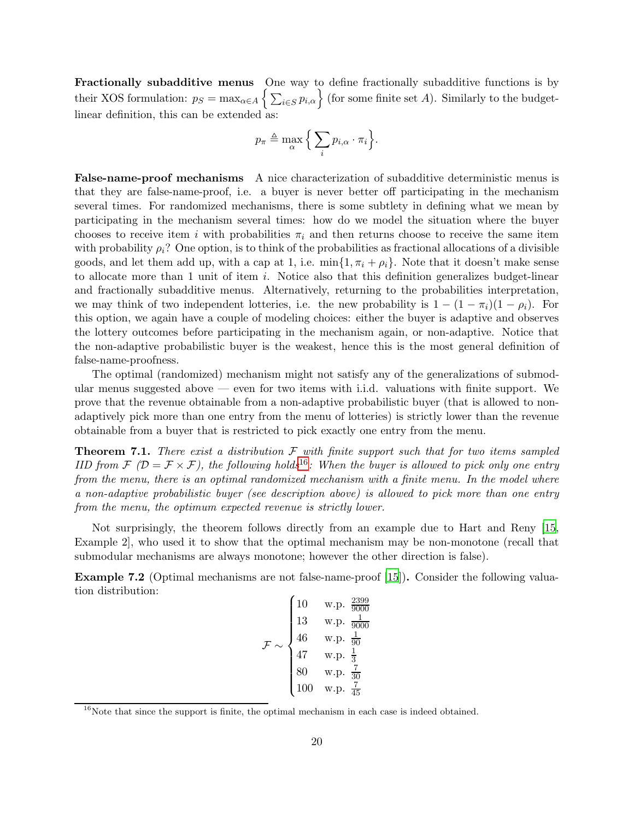Fractionally subadditive menus One way to define fractionally subadditive functions is by their XOS formulation:  $p_S = \max_{\alpha \in A} \left\{ \sum_{i \in S} p_{i,\alpha} \right\}$  (for some finite set A). Similarly to the budgetlinear definition, this can be extended as:

$$
p_{\pi} \triangleq \max_{\alpha} \Big\{ \sum_{i} p_{i,\alpha} \cdot \pi_i \Big\}.
$$

False-name-proof mechanisms A nice characterization of subadditive deterministic menus is that they are false-name-proof, i.e. a buyer is never better off participating in the mechanism several times. For randomized mechanisms, there is some subtlety in defining what we mean by participating in the mechanism several times: how do we model the situation where the buyer chooses to receive item i with probabilities  $\pi_i$  and then returns choose to receive the same item with probability  $\rho_i$ ? One option, is to think of the probabilities as fractional allocations of a divisible goods, and let them add up, with a cap at 1, i.e.  $\min\{1, \pi_i + \rho_i\}$ . Note that it doesn't make sense to allocate more than 1 unit of item i. Notice also that this definition generalizes budget-linear and fractionally subadditive menus. Alternatively, returning to the probabilities interpretation, we may think of two independent lotteries, i.e. the new probability is  $1 - (1 - \pi_i)(1 - \rho_i)$ . For this option, we again have a couple of modeling choices: either the buyer is adaptive and observes the lottery outcomes before participating in the mechanism again, or non-adaptive. Notice that the non-adaptive probabilistic buyer is the weakest, hence this is the most general definition of false-name-proofness.

The optimal (randomized) mechanism might not satisfy any of the generalizations of submodular menus suggested above — even for two items with i.i.d. valuations with finite support. We prove that the revenue obtainable from a non-adaptive probabilistic buyer (that is allowed to nonadaptively pick more than one entry from the menu of lotteries) is strictly lower than the revenue obtainable from a buyer that is restricted to pick exactly one entry from the menu.

Theorem 7.1. *There exist a distribution* F *with finite support such that for two items sampled IID from*  $\mathcal{F}$   $(\mathcal{D} = \mathcal{F} \times \mathcal{F})$ , the following holds<sup>[16](#page-19-0)</sup>: When the buyer is allowed to pick only one entry *from the menu, there is an optimal randomized mechanism with a finite menu. In the model where a non-adaptive probabilistic buyer (see description above) is allowed to pick more than one entry from the menu, the optimum expected revenue is strictly lower.*

Not surprisingly, the theorem follows directly from an example due to Hart and Reny [\[15](#page-22-4), Example 2], who used it to show that the optimal mechanism may be non-monotone (recall that submodular mechanisms are always monotone; however the other direction is false).

<span id="page-19-1"></span>Example 7.2 (Optimal mechanisms are not false-name-proof [\[15](#page-22-4)]). Consider the following valuation distribution:

$$
\mathcal{F} \sim \begin{cases} 10 & \text{w.p. } \frac{2399}{9000} \\ 13 & \text{w.p. } \frac{1}{9000} \\ 46 & \text{w.p. } \frac{1}{90} \\ 47 & \text{w.p. } \frac{1}{3} \\ 80 & \text{w.p. } \frac{7}{30} \\ 100 & \text{w.p. } \frac{7}{45} \end{cases}
$$

<span id="page-19-0"></span> $16$ Note that since the support is finite, the optimal mechanism in each case is indeed obtained.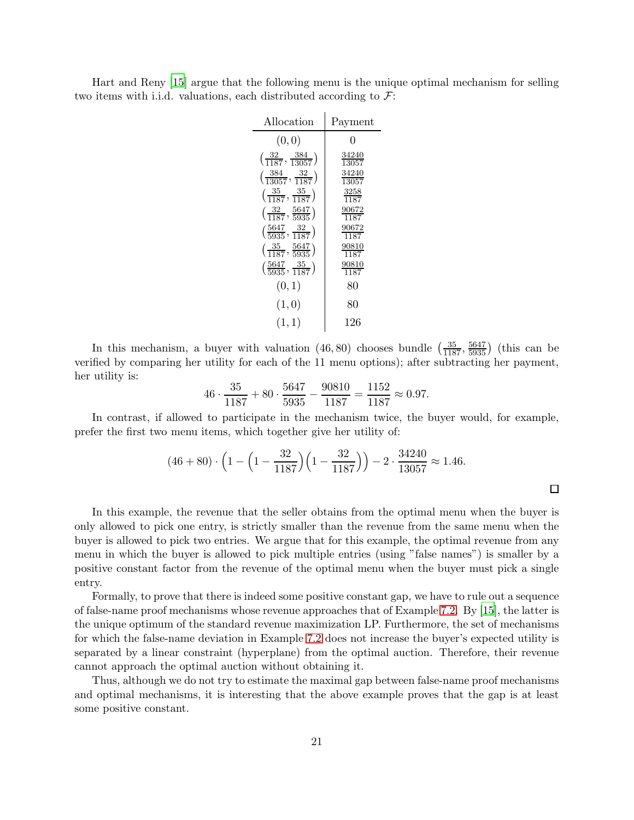Hart and Reny [\[15\]](#page-22-4) argue that the following menu is the unique optimal mechanism for selling two items with i.i.d. valuations, each distributed according to  $\mathcal{F}$ :

| Allocation                                        | Payment               |
|---------------------------------------------------|-----------------------|
| (0, 0)                                            | O                     |
| $\left(\frac{32}{1187}, \frac{384}{13057}\right)$ | $\frac{34240}{13057}$ |
| $\left(\frac{384}{13057}, \frac{32}{1187}\right)$ | $\frac{34240}{13057}$ |
| $\left(\frac{35}{1187}, \frac{35}{1187}\right)$   | $\frac{3258}{1187}$   |
| $\left(\frac{32}{1187}, \frac{5647}{5935}\right)$ | $\frac{90672}{1187}$  |
| $\left(\frac{5647}{5935}, \frac{32}{1187}\right)$ | $\frac{90672}{1187}$  |
| $\left(\frac{35}{1187}, \frac{5647}{5935}\right)$ | $\frac{90810}{1187}$  |
| $\left(\frac{5647}{5935}, \frac{35}{1187}\right)$ | $\frac{90810}{1187}$  |
| (0, 1)                                            | 80                    |
| (1, 0)                                            | 80                    |
| (1, 1)                                            | 126                   |

In this mechanism, a buyer with valuation  $(46, 80)$  chooses bundle  $\left(\frac{35}{1187}, \frac{5647}{5935}\right)$  (this can be verified by comparing her utility for each of the 11 menu options); after subtracting her payment, her utility is:

$$
46 \cdot \frac{35}{1187} + 80 \cdot \frac{5647}{5935} - \frac{90810}{1187} = \frac{1152}{1187} \approx 0.97.
$$

In contrast, if allowed to participate in the mechanism twice, the buyer would, for example, prefer the first two menu items, which together give her utility of:

$$
(46+80)\cdot \left(1-\left(1-\frac{32}{1187}\right)\left(1-\frac{32}{1187}\right)\right)-2\cdot \frac{34240}{13057}\approx 1.46.
$$

 $\Box$ 

In this example, the revenue that the seller obtains from the optimal menu when the buyer is only allowed to pick one entry, is strictly smaller than the revenue from the same menu when the buyer is allowed to pick two entries. We argue that for this example, the optimal revenue from any menu in which the buyer is allowed to pick multiple entries (using "false names") is smaller by a positive constant factor from the revenue of the optimal menu when the buyer must pick a single entry.

Formally, to prove that there is indeed some positive constant gap, we have to rule out a sequence of false-name proof mechanisms whose revenue approaches that of Example [7.2.](#page-19-1) By [\[15](#page-22-4)], the latter is the unique optimum of the standard revenue maximization LP. Furthermore, the set of mechanisms for which the false-name deviation in Example [7.2](#page-19-1) does not increase the buyer's expected utility is separated by a linear constraint (hyperplane) from the optimal auction. Therefore, their revenue cannot approach the optimal auction without obtaining it.

Thus, although we do not try to estimate the maximal gap between false-name proof mechanisms and optimal mechanisms, it is interesting that the above example proves that the gap is at least some positive constant.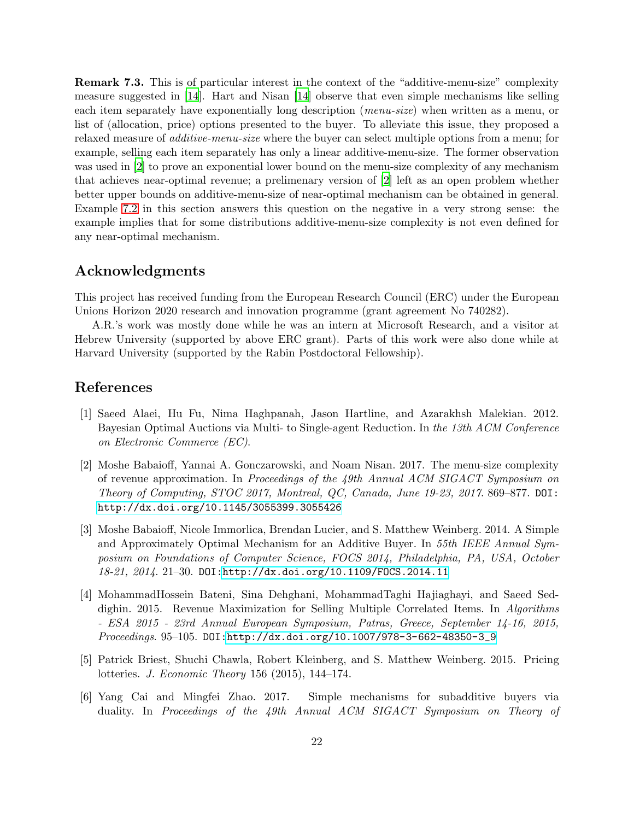<span id="page-21-4"></span>Remark 7.3. This is of particular interest in the context of the "additive-menu-size" complexity measure suggested in [\[14](#page-22-11)]. Hart and Nisan [\[14\]](#page-22-11) observe that even simple mechanisms like selling each item separately have exponentially long description (*menu-size*) when written as a menu, or list of (allocation, price) options presented to the buyer. To alleviate this issue, they proposed a relaxed measure of *additive-menu-size* where the buyer can select multiple options from a menu; for example, selling each item separately has only a linear additive-menu-size. The former observation was used in [\[2](#page-21-6)] to prove an exponential lower bound on the menu-size complexity of any mechanism that achieves near-optimal revenue; a prelimenary version of [\[2](#page-21-6)] left as an open problem whether better upper bounds on additive-menu-size of near-optimal mechanism can be obtained in general. Example [7.2](#page-19-1) in this section answers this question on the negative in a very strong sense: the example implies that for some distributions additive-menu-size complexity is not even defined for any near-optimal mechanism.

# Acknowledgments

This project has received funding from the European Research Council (ERC) under the European Unions Horizon 2020 research and innovation programme (grant agreement No 740282).

A.R.'s work was mostly done while he was an intern at Microsoft Research, and a visitor at Hebrew University (supported by above ERC grant). Parts of this work were also done while at Harvard University (supported by the Rabin Postdoctoral Fellowship).

### References

- <span id="page-21-0"></span>[1] Saeed Alaei, Hu Fu, Nima Haghpanah, Jason Hartline, and Azarakhsh Malekian. 2012. Bayesian Optimal Auctions via Multi- to Single-agent Reduction. In *the 13th ACM Conference on Electronic Commerce (EC)*.
- <span id="page-21-6"></span>[2] Moshe Babaioff, Yannai A. Gonczarowski, and Noam Nisan. 2017. The menu-size complexity of revenue approximation. In *Proceedings of the 49th Annual ACM SIGACT Symposium on Theory of Computing, STOC 2017, Montreal, QC, Canada, June 19-23, 2017*. 869–877. DOI: <http://dx.doi.org/10.1145/3055399.3055426>
- <span id="page-21-1"></span>[3] Moshe Babaioff, Nicole Immorlica, Brendan Lucier, and S. Matthew Weinberg. 2014. A Simple and Approximately Optimal Mechanism for an Additive Buyer. In *55th IEEE Annual Symposium on Foundations of Computer Science, FOCS 2014, Philadelphia, PA, USA, October 18-21, 2014*. 21–30. DOI[:http://dx.doi.org/10.1109/FOCS.2014.11](http://dx.doi.org/10.1109/FOCS.2014.11)
- <span id="page-21-3"></span>[4] MohammadHossein Bateni, Sina Dehghani, MohammadTaghi Hajiaghayi, and Saeed Seddighin. 2015. Revenue Maximization for Selling Multiple Correlated Items. In *Algorithms - ESA 2015 - 23rd Annual European Symposium, Patras, Greece, September 14-16, 2015, Proceedings*. 95–105. DOI[:http://dx.doi.org/10.1007/978-3-662-48350-3\\_9](http://dx.doi.org/10.1007/978-3-662-48350-3_9)
- <span id="page-21-5"></span>[5] Patrick Briest, Shuchi Chawla, Robert Kleinberg, and S. Matthew Weinberg. 2015. Pricing lotteries. *J. Economic Theory* 156 (2015), 144–174.
- <span id="page-21-2"></span>[6] Yang Cai and Mingfei Zhao. 2017. Simple mechanisms for subadditive buyers via duality. In *Proceedings of the 49th Annual ACM SIGACT Symposium on Theory of*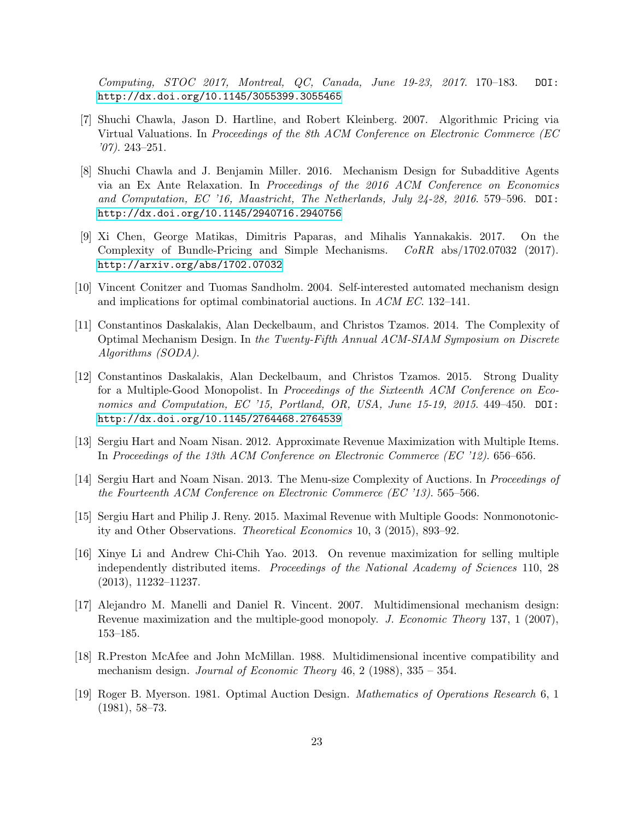*Computing, STOC 2017, Montreal, QC, Canada, June 19-23, 2017*. 170–183. DOI: <http://dx.doi.org/10.1145/3055399.3055465>

- <span id="page-22-12"></span>[7] Shuchi Chawla, Jason D. Hartline, and Robert Kleinberg. 2007. Algorithmic Pricing via Virtual Valuations. In *Proceedings of the 8th ACM Conference on Electronic Commerce (EC '07)*. 243–251.
- <span id="page-22-10"></span>[8] Shuchi Chawla and J. Benjamin Miller. 2016. Mechanism Design for Subadditive Agents via an Ex Ante Relaxation. In *Proceedings of the 2016 ACM Conference on Economics and Computation, EC '16, Maastricht, The Netherlands, July 24-28, 2016*. 579–596. DOI: <http://dx.doi.org/10.1145/2940716.2940756>
- <span id="page-22-7"></span>[9] Xi Chen, George Matikas, Dimitris Paparas, and Mihalis Yannakakis. 2017. On the Complexity of Bundle-Pricing and Simple Mechanisms. *CoRR* abs/1702.07032 (2017). <http://arxiv.org/abs/1702.07032>
- <span id="page-22-8"></span>[10] Vincent Conitzer and Tuomas Sandholm. 2004. Self-interested automated mechanism design and implications for optimal combinatorial auctions. In *ACM EC*. 132–141.
- <span id="page-22-6"></span>[11] Constantinos Daskalakis, Alan Deckelbaum, and Christos Tzamos. 2014. The Complexity of Optimal Mechanism Design. In *the Twenty-Fifth Annual ACM-SIAM Symposium on Discrete Algorithms (SODA)*.
- <span id="page-22-5"></span>[12] Constantinos Daskalakis, Alan Deckelbaum, and Christos Tzamos. 2015. Strong Duality for a Multiple-Good Monopolist. In *Proceedings of the Sixteenth ACM Conference on Economics and Computation, EC '15, Portland, OR, USA, June 15-19, 2015*. 449–450. DOI: <http://dx.doi.org/10.1145/2764468.2764539>
- <span id="page-22-3"></span>[13] Sergiu Hart and Noam Nisan. 2012. Approximate Revenue Maximization with Multiple Items. In *Proceedings of the 13th ACM Conference on Electronic Commerce (EC '12)*. 656–656.
- <span id="page-22-11"></span>[14] Sergiu Hart and Noam Nisan. 2013. The Menu-size Complexity of Auctions. In *Proceedings of the Fourteenth ACM Conference on Electronic Commerce (EC '13)*. 565–566.
- <span id="page-22-4"></span>[15] Sergiu Hart and Philip J. Reny. 2015. Maximal Revenue with Multiple Goods: Nonmonotonicity and Other Observations. *Theoretical Economics* 10, 3 (2015), 893–92.
- <span id="page-22-9"></span>[16] Xinye Li and Andrew Chi-Chih Yao. 2013. On revenue maximization for selling multiple independently distributed items. *Proceedings of the National Academy of Sciences* 110, 28 (2013), 11232–11237.
- <span id="page-22-2"></span>[17] Alejandro M. Manelli and Daniel R. Vincent. 2007. Multidimensional mechanism design: Revenue maximization and the multiple-good monopoly. *J. Economic Theory* 137, 1 (2007), 153–185.
- <span id="page-22-1"></span>[18] R.Preston McAfee and John McMillan. 1988. Multidimensional incentive compatibility and mechanism design. *Journal of Economic Theory* 46, 2 (1988), 335 – 354.
- <span id="page-22-0"></span>[19] Roger B. Myerson. 1981. Optimal Auction Design. *Mathematics of Operations Research* 6, 1 (1981), 58–73.